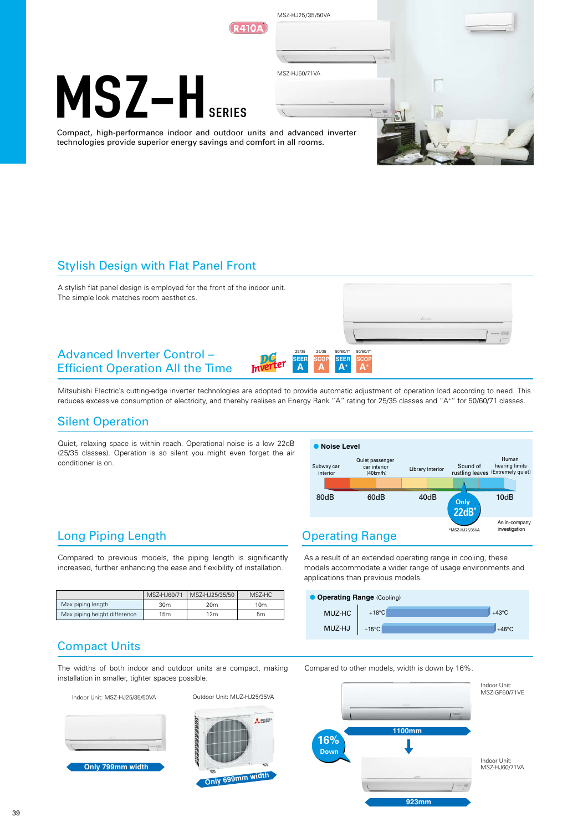

## Stylish Design with Flat Panel Front



Mitsubishi Electric's cutting-edge inverter technologies are adopted to provide automatic adjustment of operation load according to need. This reduces excessive consumption of electricity, and thereby realises an Energy Rank "A" rating for 25/35 classes and "A+" for 50/60/71 classes.

## Silent Operation

Long Piping Length

Quiet, relaxing space is within reach. Operational noise is a low 22dB (25/35 classes). Operation is so silent you might even forget the air conditioner is on.



## Operating Range

As a result of an extended operating range in cooling, these models accommodate a wider range of usage environments and applications than previous models.



## Compact Units

Max piping length Max piping height difference

The widths of both indoor and outdoor units are compact, making installation in smaller, tighter spaces possible.

Compared to previous models, the piping length is significantly increased, further enhancing the ease and flexibility of installation.

> MSZ-HJ25/35/50 20m  $12m$

MSZ-HC  $10<sub>m</sub>$  $5m$ 

MSZ-HJ60/71 30m 15m

Indoor Unit: MSZ-HJ25/35/50VA Outdoor Unit: MUZ-HJ25/35VA





Compared to other models, width is down by 16%.